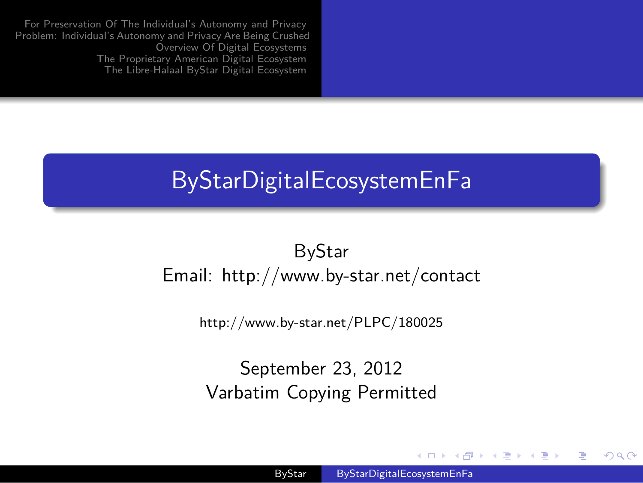For Preservation Of The Individual's Autonomy and Privacy<br>Problem: Individual's Autonomy and Privacy Are Being Crushed<br>Overview Of Digital Ecosystems<br>The Proprietary American Digital Ecosystem<br>The Libre-Halaal ByStar Digit

.

## ByStarDigitalEcosystemEnFa

ByStar Email: http://www.by-star.net/contact

http://www.by-star.net/PLPC/180025

September 23, 2012 Varbatim Copying Permitted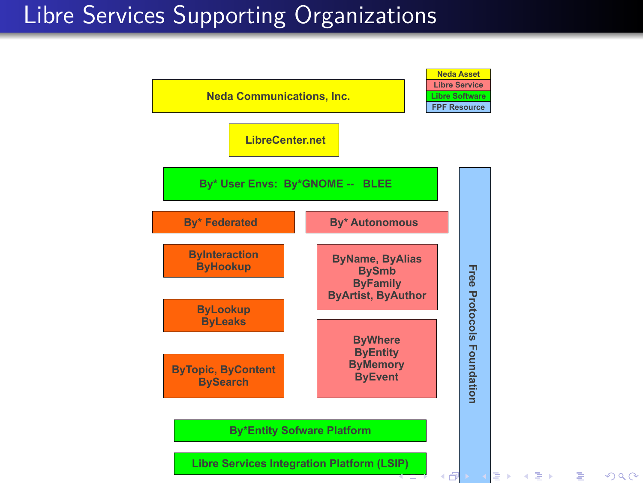## Libre Services Supporting Organizations

.

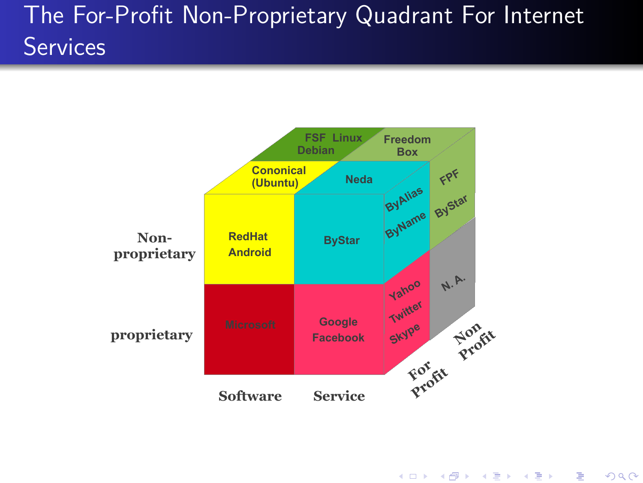## The For-Profit Non-Proprietary Quadrant For Internet **Services**

.



. . . . . .